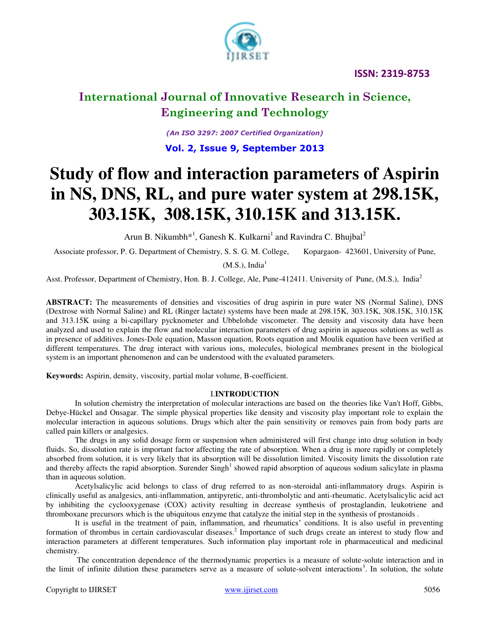

*(An ISO 3297: 2007 Certified Organization)*  **Vol. 2, Issue 9, September 2013**

# **Study of flow and interaction parameters of Aspirin in NS, DNS, RL, and pure water system at 298.15K, 303.15K, 308.15K, 310.15K and 313.15K.**

Arun B. Nikumbh\*<sup>1</sup>, Ganesh K. Kulkarni<sup>1</sup> and Ravindra C. Bhujbal<sup>2</sup>

Associate professor, P. G. Department of Chemistry, S. S. G. M. College, Kopargaon- 423601, University of Pune,

 $(M.S.)$ , India<sup>1</sup>

Asst. Professor, Department of Chemistry, Hon. B. J. College, Ale, Pune-412411. University of Pune, (M.S.), India<sup>2</sup>

**ABSTRACT:** The measurements of densities and viscosities of drug aspirin in pure water NS (Normal Saline), DNS (Dextrose with Normal Saline) and RL (Ringer lactate) systems have been made at 298.15K, 303.15K, 308.15K, 310.15K and 313.15K using a bi-capillary pycknometer and Ubbelohde viscometer. The density and viscosity data have been analyzed and used to explain the flow and molecular interaction parameters of drug aspirin in aqueous solutions as well as in presence of additives. Jones-Dole equation, Masson equation, Roots equation and Moulik equation have been verified at different temperatures. The drug interact with various ions, molecules, biological membranes present in the biological system is an important phenomenon and can be understood with the evaluated parameters.

**Keywords:** Aspirin, density, viscosity, partial molar volume, B-coefficient.

#### I.**INTRODUCTION**

In solution chemistry the interpretation of molecular interactions are based on the theories like Van't Hoff, Gibbs, Debye-Hückel and Onsagar. The simple physical properties like density and viscosity play important role to explain the molecular interaction in aqueous solutions. Drugs which alter the pain sensitivity or removes pain from body parts are called pain killers or analgesics.

The drugs in any solid dosage form or suspension when administered will first change into drug solution in body fluids. So, dissolution rate is important factor affecting the rate of absorption. When a drug is more rapidly or completely absorbed from solution, it is very likely that its absorption will be dissolution limited. Viscosity limits the dissolution rate and thereby affects the rapid absorption. Surender  $Singh<sup>1</sup>$  showed rapid absorption of aqueous sodium salicylate in plasma than in aqueous solution.

Acetylsalicylic acid belongs to class of drug referred to as non-steroidal anti-inflammatory drugs. Aspirin is clinically useful as analgesics, anti-inflammation, antipyretic, anti-thrombolytic and anti-rheumatic. Acetylsalicylic acid act by inhibiting the cyclooxygenase (COX) activity resulting in decrease synthesis of prostaglandin, leukotriene and thromboxane precursors which is the ubiquitous enzyme that catalyze the initial step in the synthesis of prostanoids .

It is useful in the treatment of pain, inflammation, and rheumatics' conditions. It is also useful in preventing formation of thrombus in certain cardiovascular diseases.<sup>2</sup> Importance of such drugs create an interest to study flow and interaction parameters at different temperatures. Such information play important role in pharmaceutical and medicinal chemistry.

 The concentration dependence of the thermodynamic properties is a measure of solute-solute interaction and in the limit of infinite dilution these parameters serve as a measure of solute-solvent interactions<sup>3</sup>. In solution, the solute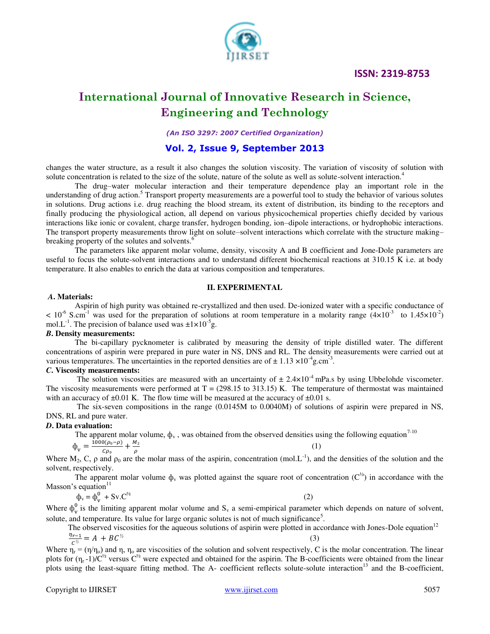#### **ISSN: 2319-8753**



# **International Journal of Innovative Research in Science, Engineering and Technology**

*(An ISO 3297: 2007 Certified Organization)* 

#### **Vol. 2, Issue 9, September 2013**

changes the water structure, as a result it also changes the solution viscosity. The variation of viscosity of solution with solute concentration is related to the size of the solute, nature of the solute as well as solute-solvent interaction.<sup>4</sup>

The drug–water molecular interaction and their temperature dependence play an important role in the understanding of drug action.<sup>5</sup> Transport property measurements are a powerful tool to study the behavior of various solutes in solutions. Drug actions i.e. drug reaching the blood stream, its extent of distribution, its binding to the receptors and finally producing the physiological action, all depend on various physicochemical properties chiefly decided by various interactions like ionic or covalent, charge transfer, hydrogen bonding, ion–dipole interactions, or hydrophobic interactions. The transport property measurements throw light on solute–solvent interactions which correlate with the structure making– breaking property of the solutes and solvents.<sup>6</sup>

The parameters like apparent molar volume, density, viscosity A and B coefficient and Jone-Dole parameters are useful to focus the solute-solvent interactions and to understand different biochemical reactions at 310.15 K i.e. at body temperature. It also enables to enrich the data at various composition and temperatures.

#### **II. EXPERIMENTAL**

#### *A***. Materials:**

Aspirin of high purity was obtained re-crystallized and then used. De-ionized water with a specific conductance of  $< 10^{-6}$  S.cm<sup>-1</sup> was used for the preparation of solutions at room temperature in a molarity range (4×10<sup>-3</sup> to 1.45×10<sup>-2</sup>) mol.L<sup>-1</sup>. The precision of balance used was  $\pm 1 \times 10^{-5}$ g.

#### *B***. Density measurements:**

The bi-capillary pycknometer is calibrated by measuring the density of triple distilled water. The different concentrations of aspirin were prepared in pure water in NS, DNS and RL. The density measurements were carried out at various temperatures. The uncertainties in the reported densities are of  $\pm 1.13 \times 10^{-4}$ g.cm<sup>-3</sup>.

#### *C***. Viscosity measurements:**

The solution viscosities are measured with an uncertainty of  $\pm 2.4 \times 10^{-4}$  mPa.s by using Ubbelohde viscometer. The viscosity measurements were performed at  $T = (298.15 \text{ to } 313.15) \text{ K}$ . The temperature of thermostat was maintained with an accuracy of  $\pm 0.01$  K. The flow time will be measured at the accuracy of  $\pm 0.01$  s.

 The six-seven compositions in the range (0.0145M to 0.0040M) of solutions of aspirin were prepared in NS, DNS, RL and pure water.

#### *D***. Data evaluation:**

The apparent molar volume,  $\phi_v$ , was obtained from the observed densities using the following equation<sup>7-10</sup>

 $(1)$ 

$$
\Phi_{\rm v} = \frac{1000(\rho_{\rm 0} - \rho)}{c \rho_{\rm 0}}
$$

ρ Where  $M_2$ , C,  $\rho$  and  $\rho_0$  are the molar mass of the aspirin, concentration (mol.L<sup>-1</sup>), and the densities of the solution and the solvent, respectively.

The apparent molar volume  $\phi_v$  was plotted against the square root of concentration ( $C^{\frac{1}{2}}$ ) in accordance with the Masson's equation $11$ 

$$
\Phi_{\mathbf{v}} = \Phi_{\mathbf{v}}^0 + \mathbf{S} \mathbf{v} \cdot \mathbf{C}^{\frac{1}{2}} \tag{2}
$$

 $+\frac{M}{a}$ 

Where  $\phi_v^0$  is the limiting apparent molar volume and  $S_v$  a semi-empirical parameter which depends on nature of solvent, solute, and temperature. Its value for large organic solutes is not of much significance<sup>5</sup>.

The observed viscosities for the aqueous solutions of aspirin were plotted in accordance with Jones-Dole equation<sup>12</sup>  $\frac{4r-1}{c^{2}} = A + BC^{2}$  (3)  $\frac{\eta_{r-1}}{c^{\frac{1}{2}}} = A + BC^{\frac{1}{2}}$ 

Where  $\eta_r = (\eta/\eta_o)$  and  $\eta$ ,  $\eta_o$  are viscosities of the solution and solvent respectively, C is the molar concentration. The linear plots for  $(\eta_r -1)/C^{1/2}$  versus  $C^{1/2}$  were expected and obtained for the aspirin. The B-coefficients were obtained from the linear plots using the least-square fitting method. The A- coefficient reflects solute-solute interaction<sup>13</sup> and the B-coefficient,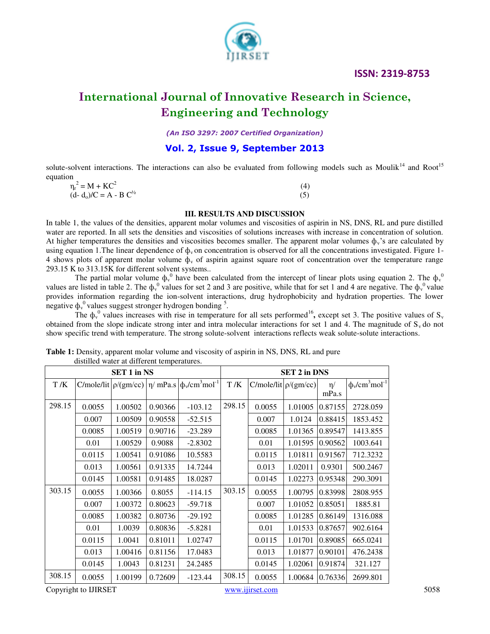### **ISSN: 2319-8753**



# **International Journal of Innovative Research in Science, Engineering and Technology**

*(An ISO 3297: 2007 Certified Organization)* 

### **Vol. 2, Issue 9, September 2013**

solute-solvent interactions. The interactions can also be evaluated from following models such as Moulik<sup>14</sup> and Root<sup>15</sup> equation

| $\eta_r^2 = M + KC^2$         | (4) |
|-------------------------------|-----|
| $(d - d_0)/C = A - B C^{1/2}$ |     |

#### **III. RESULTS AND DISCUSSION**

In table 1, the values of the densities, apparent molar volumes and viscosities of aspirin in NS, DNS, RL and pure distilled water are reported. In all sets the densities and viscosities of solutions increases with increase in concentration of solution. At higher temperatures the densities and viscosities becomes smaller. The apparent molar volumes  $\phi_y$ 's are calculated by using equation 1. The linear dependence of  $\phi_v$  on concentration is observed for all the concentrations investigated. Figure 1-4 shows plots of apparent molar volume  $\phi_y$  of aspirin against square root of concentration over the temperature range 293.15 K to 313.15K for different solvent systems..

The partial molar volume  $\phi_v^0$  have been calculated from the intercept of linear plots using equation 2. The  $\phi_v^0$ values are listed in table 2. The  $\psi^0$  values for set 2 and 3 are positive, while that for set 1 and 4 are negative. The  $\psi^0$  value provides information regarding the ion-solvent interactions, drug hydrophobicity and hydration properties. The lower negative  $\phi_{v}^{0}$  values suggest stronger hydrogen bonding <sup>5</sup>.

The  $\phi_v^0$  values increases with rise in temperature for all sets performed<sup>16</sup>, except set 3. The positive values of  $S_v$ obtained from the slope indicate strong inter and intra molecular interactions for set 1 and 4. The magnitude of  $S_y$  do not show specific trend with temperature. The strong solute-solvent interactions reflects weak solute-solute interactions.

|        | and the water at anticipal temperatures. | <b>SET 1 in NS</b> |         |                                                                  | <b>SET 2 in DNS</b> |                             |         |         |                                            |  |
|--------|------------------------------------------|--------------------|---------|------------------------------------------------------------------|---------------------|-----------------------------|---------|---------|--------------------------------------------|--|
| T/K    |                                          |                    |         | C/mole/lit $\rho/(gm/cc)$ $ \eta/mPa.s$ $ \phi_v/cm^3 mol^{-1} $ | T/K                 | $C/mole/lit  \rho/(gm/cc) $ |         | $\eta/$ | $\phi_{\rm v}/\text{cm}^3 \text{mol}^{-1}$ |  |
|        |                                          |                    |         |                                                                  |                     |                             |         | mPa.s   |                                            |  |
| 298.15 | 0.0055                                   | 1.00502            | 0.90366 | $-103.12$                                                        | 298.15              | 0.0055                      | 1.01005 | 0.87155 | 2728.059                                   |  |
|        | 0.007                                    | 1.00509            | 0.90558 | $-52.515$                                                        |                     | 0.007                       | 1.0124  | 0.88415 | 1853.452                                   |  |
|        | 0.0085                                   | 1.00519            | 0.90716 | $-23.289$                                                        |                     | 0.0085                      | 1.01365 | 0.89547 | 1413.855                                   |  |
|        | 0.01                                     | 1.00529            | 0.9088  | $-2.8302$                                                        |                     | 0.01                        | 1.01595 | 0.90562 | 1003.641                                   |  |
|        | 0.0115                                   | 1.00541            | 0.91086 | 10.5583                                                          |                     | 0.0115                      | 1.01811 | 0.91567 | 712.3232                                   |  |
|        | 0.013                                    | 1.00561            | 0.91335 | 14.7244                                                          |                     | 0.013                       | 1.02011 | 0.9301  | 500.2467                                   |  |
|        | 0.0145                                   | 1.00581            | 0.91485 | 18.0287                                                          |                     | 0.0145                      | 1.02273 | 0.95348 | 290.3091                                   |  |
| 303.15 | 0.0055                                   | 1.00366            | 0.8055  | $-114.15$                                                        | 303.15              | 0.0055                      | 1.00795 | 0.83998 | 2808.955                                   |  |
|        | 0.007                                    | 1.00372            | 0.80623 | $-59.718$                                                        |                     | 0.007                       | 1.01052 | 0.85051 | 1885.81                                    |  |
|        | 0.0085                                   | 1.00382            | 0.80736 | $-29.192$                                                        |                     | 0.0085                      | 1.01285 | 0.86149 | 1316.088                                   |  |
|        | 0.01                                     | 1.0039             | 0.80836 | $-5.8281$                                                        |                     | 0.01                        | 1.01533 | 0.87657 | 902.6164                                   |  |
|        | 0.0115                                   | 1.0041             | 0.81011 | 1.02747                                                          |                     | 0.0115                      | 1.01701 | 0.89085 | 665.0241                                   |  |
|        | 0.013                                    | 1.00416            | 0.81156 | 17.0483                                                          |                     | 0.013                       | 1.01877 | 0.90101 | 476.2438                                   |  |
|        | 0.0145                                   | 1.0043             | 0.81231 | 24.2485                                                          |                     | 0.0145                      | 1.02061 | 0.91874 | 321.127                                    |  |
| 308.15 | 0.0055                                   | 1.00199            | 0.72609 | $-123.44$                                                        | 308.15              | 0.0055                      | 1.00684 | 0.76336 | 2699.801                                   |  |

Table 1: Density, apparent molar volume and viscosity of aspirin in NS, DNS, RL and pure distilled water at different temperatures.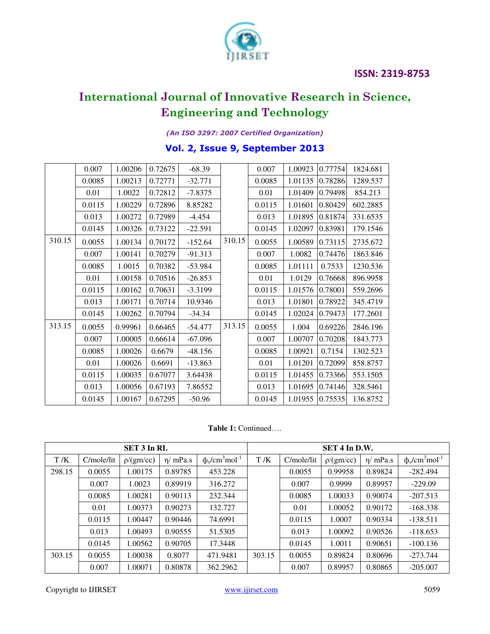

### *(An ISO 3297: 2007 Certified Organization)*

# **Vol. 2, Issue 9, September 2013**

|        | 0.007  | 1.00206 | 0.72675 | $-68.39$  |        | 0.007  | 1.00923 | 0.77754 | 1824.681 |
|--------|--------|---------|---------|-----------|--------|--------|---------|---------|----------|
|        | 0.0085 | 1.00213 | 0.72771 | $-32.771$ |        | 0.0085 | 1.01135 | 0.78286 | 1289.537 |
|        | 0.01   | 1.0022  | 0.72812 | $-7.8375$ |        | 0.01   | 1.01409 | 0.79498 | 854.213  |
|        | 0.0115 | 1.00229 | 0.72896 | 8.85282   |        | 0.0115 | 1.01601 | 0.80429 | 602.2885 |
|        | 0.013  | 1.00272 | 0.72989 | $-4.454$  |        | 0.013  | 1.01895 | 0.81874 | 331.6535 |
|        | 0.0145 | 1.00326 | 0.73122 | $-22.591$ |        | 0.0145 | 1.02097 | 0.83981 | 179.1546 |
| 310.15 | 0.0055 | 1.00134 | 0.70172 | $-152.64$ | 310.15 | 0.0055 | 1.00589 | 0.73115 | 2735.672 |
|        | 0.007  | 1.00141 | 0.70279 | $-91.313$ |        | 0.007  | 1.0082  | 0.74476 | 1863.846 |
|        | 0.0085 | 1.0015  | 0.70382 | -53.984   |        | 0.0085 | 1.01111 | 0.7533  | 1230.536 |
|        | 0.01   | 1.00158 | 0.70516 | $-26.853$ |        | 0.01   | 1.0129  | 0.76668 | 896.9958 |
|        | 0.0115 | 1.00162 | 0.70631 | $-3.3199$ |        | 0.0115 | 1.01576 | 0.78001 | 559.2696 |
|        | 0.013  | 1.00171 | 0.70714 | 10.9346   |        | 0.013  | 1.01801 | 0.78922 | 345.4719 |
|        | 0.0145 | 1.00262 | 0.70794 | $-34.34$  |        | 0.0145 | 1.02024 | 0.79473 | 177.2601 |
| 313.15 | 0.0055 | 0.99961 | 0.66465 | $-54.477$ | 313.15 | 0.0055 | 1.004   | 0.69226 | 2846.196 |
|        | 0.007  | 1.00005 | 0.66614 | $-67.096$ |        | 0.007  | 1.00707 | 0.70208 | 1843.773 |
|        | 0.0085 | 1.00026 | 0.6679  | $-48.156$ |        | 0.0085 | 1.00921 | 0.7154  | 1302.523 |
|        | 0.01   | 1.00026 | 0.6691  | $-13.863$ |        | 0.01   | 1.01201 | 0.72099 | 858.8757 |
|        | 0.0115 | 1.00035 | 0.67077 | 3.64438   |        | 0.0115 | 1.01455 | 0.73366 | 553.1505 |
|        | 0.013  | 1.00056 | 0.67193 | 7.86552   |        | 0.013  | 1.01695 | 0.74146 | 328.5461 |
|        | 0.0145 | 1.00167 | 0.67295 | $-50.96$  |        | 0.0145 | 1.01955 | 0.75535 | 136.8752 |

**Table 1:** Continued….

|        |            | SET 3 In RL |                |                                                        | $SET 4$ In D.W. |            |           |                |                           |
|--------|------------|-------------|----------------|--------------------------------------------------------|-----------------|------------|-----------|----------------|---------------------------|
| T/K    | C/mole/lit | p/(gm/cc)   | $\eta$ / mPa.s | $\phi$ <sub>v</sub> /cm <sup>3</sup> mol <sup>-1</sup> | T/K             | C/mole/lit | p/(gm/cc) | $\eta$ / mPa.s | $\phi_{v}/cm^{3}mol^{-1}$ |
| 298.15 | 0.0055     | 1.00175     | 0.89785        | 453.228                                                |                 | 0.0055     | 0.99958   | 0.89824        | $-282.494$                |
|        | 0.007      | 1.0023      | 0.89919        | 316.272                                                |                 | 0.007      | 0.9999    | 0.89957        | $-229.09$                 |
|        | 0.0085     | 1.00281     | 0.90113        | 232.344                                                |                 | 0.0085     | 1.00033   | 0.90074        | $-207.513$                |
|        | 0.01       | 1.00373     | 0.90273        | 132.727                                                |                 | 0.01       | 1.00052   | 0.90172        | $-168.338$                |
|        | 0.0115     | 1.00447     | 0.90446        | 74.6991                                                |                 | 0.0115     | 1.0007    | 0.90334        | $-138.511$                |
|        | 0.013      | 1.00493     | 0.90555        | 51.5305                                                |                 | 0.013      | 1.00092   | 0.90526        | $-118.653$                |
|        | 0.0145     | 1.00562     | 0.90705        | 17.3448                                                |                 | 0.0145     | 1.0011    | 0.90651        | $-100.136$                |
| 303.15 | 0.0055     | 1.00038     | 0.8077         | 471.9481                                               | 303.15          | 0.0055     | 0.89824   | 0.80696        | $-273.744$                |
|        | 0.007      | 1.00071     | 0.80878        | 362.2962                                               |                 | 0.007      | 0.89957   | 0.80865        | $-205.007$                |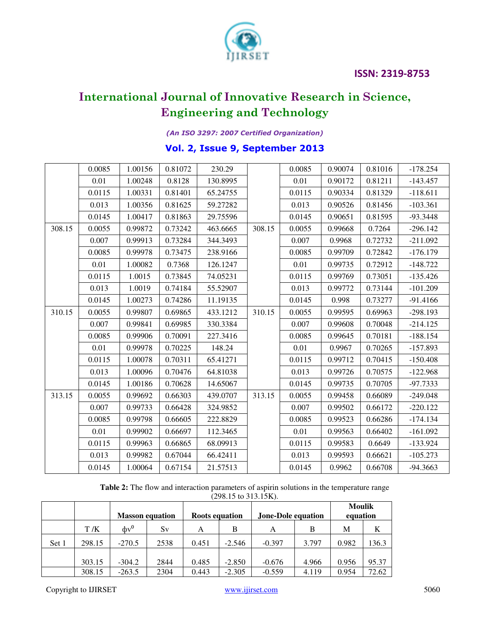

### *(An ISO 3297: 2007 Certified Organization)*

### **Vol. 2, Issue 9, September 2013**

|        | 0.0085 | 1.00156 | 0.81072 | 230.29   |        | 0.0085 | 0.90074 | 0.81016 | $-178.254$ |
|--------|--------|---------|---------|----------|--------|--------|---------|---------|------------|
|        | 0.01   | 1.00248 | 0.8128  | 130.8995 |        | 0.01   | 0.90172 | 0.81211 | $-143.457$ |
|        | 0.0115 | 1.00331 | 0.81401 | 65.24755 |        | 0.0115 | 0.90334 | 0.81329 | $-118.611$ |
|        | 0.013  | 1.00356 | 0.81625 | 59.27282 |        | 0.013  | 0.90526 | 0.81456 | $-103.361$ |
|        | 0.0145 | 1.00417 | 0.81863 | 29.75596 |        | 0.0145 | 0.90651 | 0.81595 | $-93.3448$ |
| 308.15 | 0.0055 | 0.99872 | 0.73242 | 463.6665 | 308.15 | 0.0055 | 0.99668 | 0.7264  | $-296.142$ |
|        | 0.007  | 0.99913 | 0.73284 | 344.3493 |        | 0.007  | 0.9968  | 0.72732 | $-211.092$ |
|        | 0.0085 | 0.99978 | 0.73475 | 238.9166 |        | 0.0085 | 0.99709 | 0.72842 | $-176.179$ |
|        | 0.01   | 1.00082 | 0.7368  | 126.1247 |        | 0.01   | 0.99735 | 0.72912 | $-148.722$ |
|        | 0.0115 | 1.0015  | 0.73845 | 74.05231 |        | 0.0115 | 0.99769 | 0.73051 | $-135.426$ |
|        | 0.013  | 1.0019  | 0.74184 | 55.52907 |        | 0.013  | 0.99772 | 0.73144 | $-101.209$ |
|        | 0.0145 | 1.00273 | 0.74286 | 11.19135 |        | 0.0145 | 0.998   | 0.73277 | $-91.4166$ |
| 310.15 | 0.0055 | 0.99807 | 0.69865 | 433.1212 | 310.15 | 0.0055 | 0.99595 | 0.69963 | $-298.193$ |
|        | 0.007  | 0.99841 | 0.69985 | 330.3384 |        | 0.007  | 0.99608 | 0.70048 | $-214.125$ |
|        | 0.0085 | 0.99906 | 0.70091 | 227.3416 |        | 0.0085 | 0.99645 | 0.70181 | $-188.154$ |
|        | 0.01   | 0.99978 | 0.70225 | 148.24   |        | 0.01   | 0.9967  | 0.70265 | $-157.893$ |
|        | 0.0115 | 1.00078 | 0.70311 | 65.41271 |        | 0.0115 | 0.99712 | 0.70415 | $-150.408$ |
|        | 0.013  | 1.00096 | 0.70476 | 64.81038 |        | 0.013  | 0.99726 | 0.70575 | $-122.968$ |
|        | 0.0145 | 1.00186 | 0.70628 | 14.65067 |        | 0.0145 | 0.99735 | 0.70705 | $-97.7333$ |
| 313.15 | 0.0055 | 0.99692 | 0.66303 | 439.0707 | 313.15 | 0.0055 | 0.99458 | 0.66089 | $-249.048$ |
|        | 0.007  | 0.99733 | 0.66428 | 324.9852 |        | 0.007  | 0.99502 | 0.66172 | $-220.122$ |
|        | 0.0085 | 0.99798 | 0.66605 | 222.8829 |        | 0.0085 | 0.99523 | 0.66286 | $-174.134$ |
|        | 0.01   | 0.99902 | 0.66697 | 112.3465 |        | 0.01   | 0.99563 | 0.66402 | $-161.092$ |
|        | 0.0115 | 0.99963 | 0.66865 | 68.09913 |        | 0.0115 | 0.99583 | 0.6649  | $-133.924$ |
|        | 0.013  | 0.99982 | 0.67044 | 66.42411 |        | 0.013  | 0.99593 | 0.66621 | $-105.273$ |
|        | 0.0145 | 1.00064 | 0.67154 | 21.57513 |        | 0.0145 | 0.9962  | 0.66708 | $-94.3663$ |

**Table 2:** The flow and interaction parameters of aspirin solutions in the temperature range  $(298.15 \text{ to } 313.15 \text{K})$ .

|       |        | <b>Masson equation</b> |      | <b>Roots equation</b> |          | <b>Jone-Dole equation</b> |       | <b>Moulik</b><br>equation |       |
|-------|--------|------------------------|------|-----------------------|----------|---------------------------|-------|---------------------------|-------|
|       | T/K    | $\Phi v^0$             | Sv   | A                     | B        | A                         | B     | М                         | K     |
| Set 1 | 298.15 | $-270.5$               | 2538 | 0.451                 | $-2.546$ | $-0.397$                  | 3.797 | 0.982                     | 136.3 |
|       | 303.15 | $-304.2$               | 2844 | 0.485                 | $-2.850$ | $-0.676$                  | 4.966 | 0.956                     | 95.37 |
|       | 308.15 | $-263.5$               | 2304 | 0.443                 | $-2.305$ | $-0.559$                  | 4.119 | 0.954                     | 72.62 |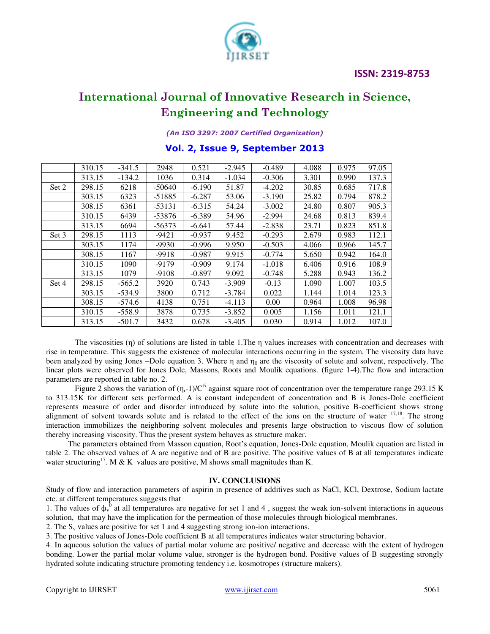

*(An ISO 3297: 2007 Certified Organization)* 

### **Vol. 2, Issue 9, September 2013**

|       | 310.15 | $-341.5$ | 2948     | 0.521    | $-2.945$ | $-0.489$ | 4.088 | 0.975 | 97.05 |
|-------|--------|----------|----------|----------|----------|----------|-------|-------|-------|
|       | 313.15 | $-134.2$ | 1036     | 0.314    | $-1.034$ | $-0.306$ | 3.301 | 0.990 | 137.3 |
| Set 2 | 298.15 | 6218     | $-50640$ | $-6.190$ | 51.87    | $-4.202$ | 30.85 | 0.685 | 717.8 |
|       | 303.15 | 6323     | $-51885$ | $-6.287$ | 53.06    | $-3.190$ | 25.82 | 0.794 | 878.2 |
|       | 308.15 | 6361     | $-53131$ | $-6.315$ | 54.24    | $-3.002$ | 24.80 | 0.807 | 905.3 |
|       | 310.15 | 6439     | -53876   | $-6.389$ | 54.96    | $-2.994$ | 24.68 | 0.813 | 839.4 |
|       | 313.15 | 6694     | $-56373$ | $-6.641$ | 57.44    | $-2.838$ | 23.71 | 0.823 | 851.8 |
| Set 3 | 298.15 | 1113     | $-9421$  | $-0.937$ | 9.452    | $-0.293$ | 2.679 | 0.983 | 112.1 |
|       | 303.15 | 1174     | $-9930$  | $-0.996$ | 9.950    | $-0.503$ | 4.066 | 0.966 | 145.7 |
|       | 308.15 | 1167     | $-9918$  | $-0.987$ | 9.915    | $-0.774$ | 5.650 | 0.942 | 164.0 |
|       | 310.15 | 1090     | $-9179$  | $-0.909$ | 9.174    | $-1.018$ | 6.406 | 0.916 | 108.9 |
|       | 313.15 | 1079     | -9108    | $-0.897$ | 9.092    | $-0.748$ | 5.288 | 0.943 | 136.2 |
| Set 4 | 298.15 | $-565.2$ | 3920     | 0.743    | $-3.909$ | $-0.13$  | 1.090 | 1.007 | 103.5 |
|       | 303.15 | $-534.9$ | 3800     | 0.712    | $-3.784$ | 0.022    | 1.144 | 1.014 | 123.3 |
|       | 308.15 | $-574.6$ | 4138     | 0.751    | $-4.113$ | 0.00     | 0.964 | 1.008 | 96.98 |
|       | 310.15 | $-558.9$ | 3878     | 0.735    | $-3.852$ | 0.005    | 1.156 | 1.011 | 121.1 |
|       | 313.15 | $-501.7$ | 3432     | 0.678    | $-3.405$ | 0.030    | 0.914 | 1.012 | 107.0 |

The viscosities (η) of solutions are listed in table 1.The η values increases with concentration and decreases with rise in temperature. This suggests the existence of molecular interactions occurring in the system. The viscosity data have been analyzed by using Jones –Dole equation 3. Where  $\eta$  and  $\eta_0$  are the viscosity of solute and solvent, respectively. The linear plots were observed for Jones Dole, Massons, Roots and Moulik equations. (figure 1-4).The flow and interaction parameters are reported in table no. 2.

Figure 2 shows the variation of  $(\eta_r - 1)/C^{1/2}$  against square root of concentration over the temperature range 293.15 K to 313.15K for different sets performed. A is constant independent of concentration and B is Jones-Dole coefficient represents measure of order and disorder introduced by solute into the solution, positive B-coefficient shows strong alignment of solvent towards solute and is related to the effect of the ions on the structure of water  $17,18$ . The strong interaction immobilizes the neighboring solvent molecules and presents large obstruction to viscous flow of solution thereby increasing viscosity. Thus the present system behaves as structure maker.

 The parameters obtained from Masson equation, Root's equation, Jones-Dole equation, Moulik equation are listed in table 2. The observed values of A are negative and of B are positive. The positive values of B at all temperatures indicate water structuring<sup>17</sup>. M & K values are positive, M shows small magnitudes than K.

#### **IV. CONCLUSIONS**

Study of flow and interaction parameters of aspirin in presence of additives such as NaCl, KCl, Dextrose, Sodium lactate etc. at different temperatures suggests that

1. The values of  $\phi_v^0$  at all temperatures are negative for set 1 and 4, suggest the weak ion-solvent interactions in aqueous solution, that may have the implication for the permeation of those molecules through biological membranes.

2. The  $S_v$  values are positive for set 1 and 4 suggesting strong ion-ion interactions.

3. The positive values of Jones-Dole coefficient B at all temperatures indicates water structuring behavior.

4. In aqueous solution the values of partial molar volume are positive/ negative and decrease with the extent of hydrogen bonding. Lower the partial molar volume value, stronger is the hydrogen bond. Positive values of B suggesting strongly hydrated solute indicating structure promoting tendency i.e. kosmotropes (structure makers).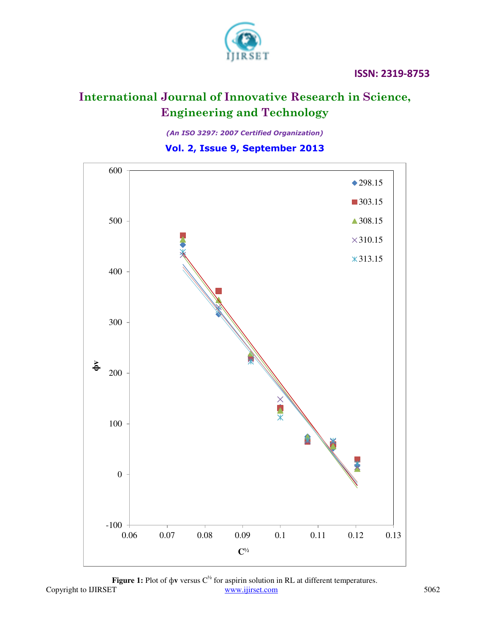

*(An ISO 3297: 2007 Certified Organization)* 

### **Vol. 2, Issue 9, September 2013**



Copyright to IJIRSET 5062 **Figure 1:** Plot of  $\phi$ **v** versus  $C^{\frac{1}{2}}$  for aspirin solution in RL at different temperatures.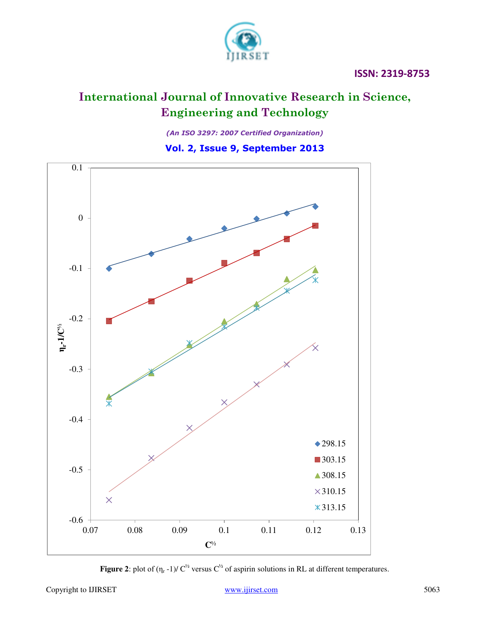

*(An ISO 3297: 2007 Certified Organization)* 

## **Vol. 2, Issue 9, September 2013**



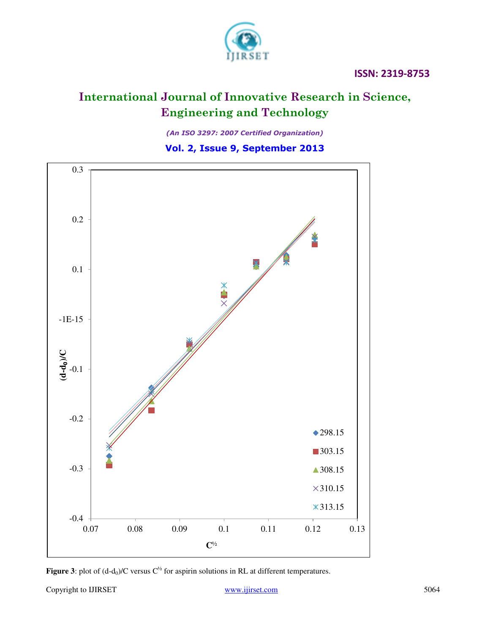

*(An ISO 3297: 2007 Certified Organization)* 

**Vol. 2, Issue 9, September 2013**



**Figure 3**: plot of  $(d-d_0)/C$  versus  $C^{1/2}$  for aspirin solutions in RL at different temperatures.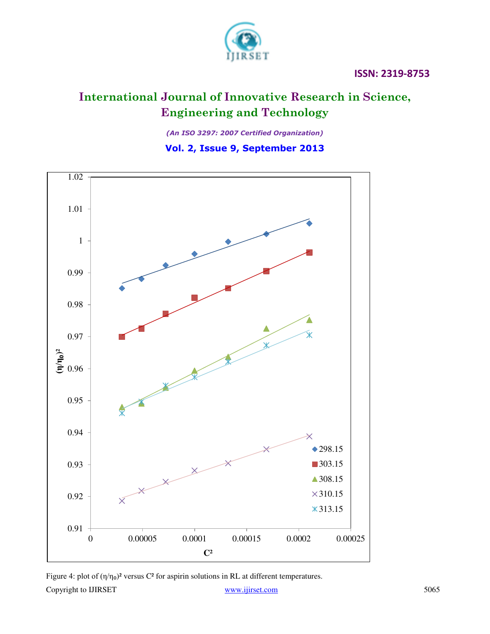

*(An ISO 3297: 2007 Certified Organization)* 

**Vol. 2, Issue 9, September 2013**



Copyright to IJIRSET 5065 Figure 4: plot of  $(\eta/\eta_0)^2$  versus C<sup>2</sup> for aspirin solutions in RL at different temperatures.